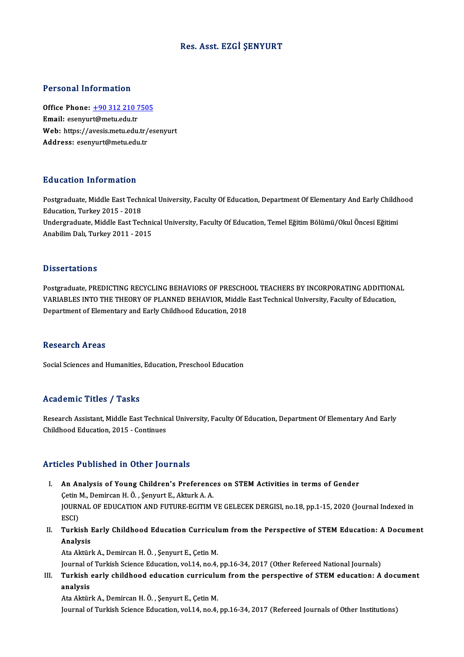## Res. Asst. EZGİ ŞENYURT

#### Personal Information

Personal Information<br>Office Phone: <u>+90 312 210 7505</u><br>Email: esentaut@matu.edu.tr Fersonar micromation<br>Office Phone: <u>+90 312 210 7</u><br>Email: esenyur[t@metu.edu.tr](tel:+90 312 210 7505) Office Phone: <u>+90 312 210 7505</u><br>Email: esenyurt@metu.edu.tr<br>Web: https://avesis.metu.edu.tr/esenyurt<br>Addressy.esenyurt@metu.edu.tr Email: esenyurt@metu.edu.tr<br>Web: https://avesis.metu.edu.tr/<br>Address: esenyurt@metu.edu.tr

### Education Information

**Education Information**<br>Postgraduate, Middle East Technical University, Faculty Of Education, Department Of Elementary And Early Childhood<br>Education, Turkey 2015 - 2019 Education, Information<br>Postgraduate, Middle East Techn<br>Education, Turkey 2015 - 2018<br>Undergraduate, Middle East Tea Postgraduate, Middle East Technical University, Faculty Of Education, Department Of Elementary And Early Childh<br>Education, Turkey 2015 - 2018<br>Undergraduate, Middle East Technical University, Faculty Of Education, Temel Eği Education, Turkey 2015 - 2018<br>Undergraduate, Middle East Technical University, Faculty Of Education, Temel Eğitim Bölümü/Okul Öncesi Eğitimi<br>Anabilim Dalı, Turkey 2011 - 2015

#### **Dissertations**

Dissertations<br>Postgraduate, PREDICTING RECYCLING BEHAVIORS OF PRESCHOOL TEACHERS BY INCORPORATING ADDITIONAL<br>VARIABLES INTO THE THEORY OF PLANNED BEHAVIOR, Middle Fest Technical University Feculty of Education D'ISSOT CATISTIS<br>Postgraduate, PREDICTING RECYCLING BEHAVIORS OF PRESCHOOL TEACHERS BY INCORPORATING ADDITION,<br>VARIABLES INTO THE THEORY OF PLANNED BEHAVIOR, Middle East Technical University, Faculty of Education,<br>Penartme Postgraduate, PREDICTING RECYCLING BEHAVIORS OF PRESCHO<br>VARIABLES INTO THE THEORY OF PLANNED BEHAVIOR, Middle<br>Department of Elementary and Early Childhood Education, 2018 Department of Elementary and Early Childhood Education, 2018<br>Research Areas

Social Sciences and Humanities, Education, Preschool Education

### Academic Titles / Tasks

Academic Titles / Tasks<br>Research Assistant, Middle East Technical University, Faculty Of Education, Department Of Elementary And Early<br>Childhood Education, 2015, Continues Research Assistant, Middle East Technic<br>Childhood Education, 2015 - Continues

# Childhood Education, 2015 - Continues<br>Articles Published in Other Journals

- rticles Published in Other Journals<br>I. An Analysis of Young Children's Preferences on STEM Activities in terms of Gender XOO T ADINDIOA IN OCHOI JOATHAM<br>An Analysis of Young Children's Preference<br>Cetin M., Demircan H. Ö. , Şenyurt E., Akturk A. A.<br>IOUPMAL OF EDUCATION AND EUTURE ECITIM I An Analysis of Young Children's Preferences on STEM Activities in terms of Gender<br>Çetin M., Demircan H. Ö. , Şenyurt E., Akturk A. A.<br>JOURNAL OF EDUCATION AND FUTURE-EGITIM VE GELECEK DERGISI, no.18, pp.1-15, 2020 (Journal Cetin<br>JOURN<br>ESCI)<br>Turki JOURNAL OF EDUCATION AND FUTURE-EGITIM VE GELECEK DERGISI, no.18, pp.1-15, 2020 (Journal Indexed in<br>ESCI)<br>II. Turkish Early Childhood Education Curriculum from the Perspective of STEM Education: A Document<br>Analysis
- ESCI)<br>II. Turkish Early Childhood Education Curriculum from the Perspective of STEM Education: A Document<br>Analysis

Ata Aktürk A., Demircan H. Ö., Şenyurt E., Çetin M.

Journal of Turkish Science Education, vol.14, no.4, pp.16-34, 2017 (Other Refereed National Journals)

Ata Aktürk A., Demircan H. Ö. , Şenyurt E., Çetin M.<br>Journal of Turkish Science Education, vol.14, no.4, pp.16-34, 2017 (Other Refereed National Journals)<br>III. Turkish early childhood education curriculum from the pers Journal of<br>**Turkish<br>analysis**<br>Ata Altün Turkish early childhood education curriculu<br>analysis<br>Ata Aktürk A., Demircan H. Ö. , Şenyurt E., Çetin M.<br>Journal of Turkish Ssiance Education vol 14, no 4.

analysis<br>Ata Aktürk A., Demircan H. Ö. , Şenyurt E., Çetin M.<br>Journal of Turkish Science Education, vol.14, no.4, pp.16-34, 2017 (Refereed Journals of Other Institutions)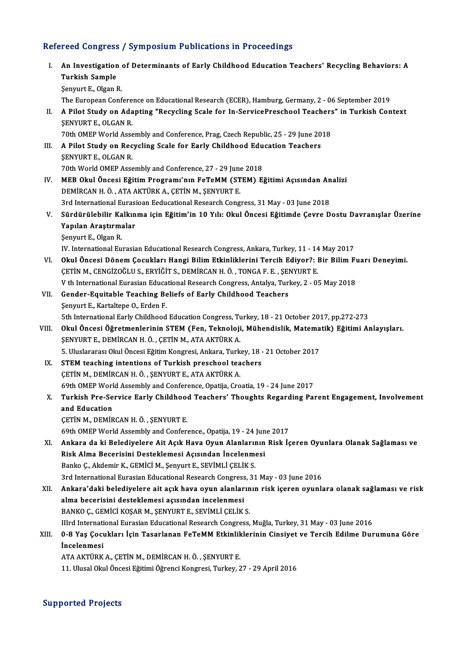# Refereed Congress / Symposium Publications in Proceedings

|       | <u>cymposium i ushcanons m i roccean</u>                                                              |
|-------|-------------------------------------------------------------------------------------------------------|
| I.    | An Investigation of Determinants of Early Childhood Education Teachers' Recycling Behaviors: A        |
|       | <b>Turkish Sample</b>                                                                                 |
|       | Senyurt E, Olgan R                                                                                    |
|       | The European Conference on Educational Research (ECER), Hamburg, Germany, 2 - 06 September 2019       |
| П.    | A Pilot Study on Adapting "Recycling Scale for In-ServicePreschool Teachers" in Turkish Context       |
|       | <b>SENYURT E, OLGAN R</b>                                                                             |
|       | 70th OMEP World Assembly and Conference, Prag, Czech Republic, 25 - 29 June 2018                      |
| III.  | A Pilot Study on Recycling Scale for Early Childhood Education Teachers                               |
|       | <b>SENYURT E, OLGAN R.</b>                                                                            |
|       | 70th World OMEP Assembly and Conference, 27 - 29 June 2018                                            |
| IV.   | MEB Okul Öncesi Eğitim Programı'nın FeTeMM (STEM) Eğitimi Açısından Analizi                           |
|       | DEMİRCAN H. Ö., ATA AKTÜRK A., ÇETİN M., ŞENYURT E.                                                   |
|       | 3rd International Eurasioan Eeducational Research Congress, 31 May - 03 June 2018                     |
| V.    | Sürdürülebilir Kalkınma için Eğitim'in 10 Yılı: Okul Öncesi Eğitimde Çevre Dostu Davranışlar Üzerine  |
|       | Yapılan Araştırmalar                                                                                  |
|       | Şenyurt E, Olgan R.                                                                                   |
|       | IV. International Eurasian Educational Research Congress, Ankara, Turkey, 11 - 14 May 2017            |
| VI.   | Okul Öncesi Dönem Çocukları Hangi Bilim Etkinliklerini Tercih Ediyor?: Bir Bilim Fuarı Deneyimi.      |
|       | ÇETİN M., CENGİZOĞLU S., ERYİĞİT S., DEMİRCAN H. Ö. , TONGA F. E. , ŞENYURT E.                        |
|       | V th International Eurasian Educational Research Congress, Antalya, Turkey, 2 - 05 May 2018           |
| VII.  | Gender-Equitable Teaching Beliefs of Early Childhood Teachers                                         |
|       | Şenyurt E., Kartaltepe O., Erden F.                                                                   |
|       | 5th International Early Childhood Education Congress, Turkey, 18 - 21 October 2017, pp.272-273        |
| VIII. | Okul Öncesi Öğretmenlerinin STEM (Fen, Teknoloji, Mühendislik, Matematik) Eğitimi Anlayışları.        |
|       | ŞENYURT E., DEMİRCAN H. Ö., ÇETİN M., ATA AKTÜRK A.                                                   |
|       | 5. Uluslararası Okul Öncesi Eğitim Kongresi, Ankara, Turkey, 18 - 21 October 2017                     |
| IX.   | STEM teaching intentions of Turkish preschool teachers                                                |
|       | ÇETİN M., DEMİRCAN H. Ö., ŞENYURT E., ATA AKTÜRK A.                                                   |
|       | 69th OMEP World Assembly and Conference, Opatija, Croatia, 19 - 24 June 2017                          |
| X.    | Turkish Pre-Service Early Childhood Teachers' Thoughts Regarding Parent Engagement, Involvement       |
|       | and Education                                                                                         |
|       | ÇETİN M., DEMİRCAN H. Ö., ŞENYURT E.                                                                  |
|       | 69th OMEP World Assembly and Conference., Opatija, 19 - 24 June 2017                                  |
| XI.   | Ankara da ki Belediyelere Ait Açık Hava Oyun Alanlarının Risk İçeren Oyunlara Olanak Sağlaması ve     |
|       | Risk Alma Becerisini Desteklemesi Açısından İncelenmesi                                               |
|       | Banko Ç., Akdemir K., GEMİCİ M., Şenyurt E., SEVİMLİ ÇELİK S.                                         |
|       | 3rd International Eurasian Educational Research Congress, 31 May - 03 June 2016                       |
| XII.  | Ankara'daki belediyelere ait açık hava oyun alanlarının risk içeren oyunlara olanak sağlaması ve risk |
|       | alma becerisini desteklemesi açısından incelenmesi                                                    |
|       | BANKO Ç., GEMİCİ KOŞAR M., ŞENYURT E., SEVİMLİ ÇELİK S.                                               |
|       | IIIrd International Eurasian Educational Research Congress, Muğla, Turkey, 31 May - 03 June 2016      |
| XIII. | 0-8 Yaş Çocukları İçin Tasarlanan FeTeMM Etkinliklerinin Cinsiyet ve Tercih Edilme Durumuna Göre      |
|       | İncelenmesi                                                                                           |
|       | ATA AKTÜRK A., ÇETİN M., DEMİRCAN H. Ö., ŞENYURT E.                                                   |
|       | 11. Ulusal Okul Öncesi Eğitimi Öğrenci Kongresi, Turkey, 27 - 29 April 2016                           |
|       |                                                                                                       |

# Supported Projects